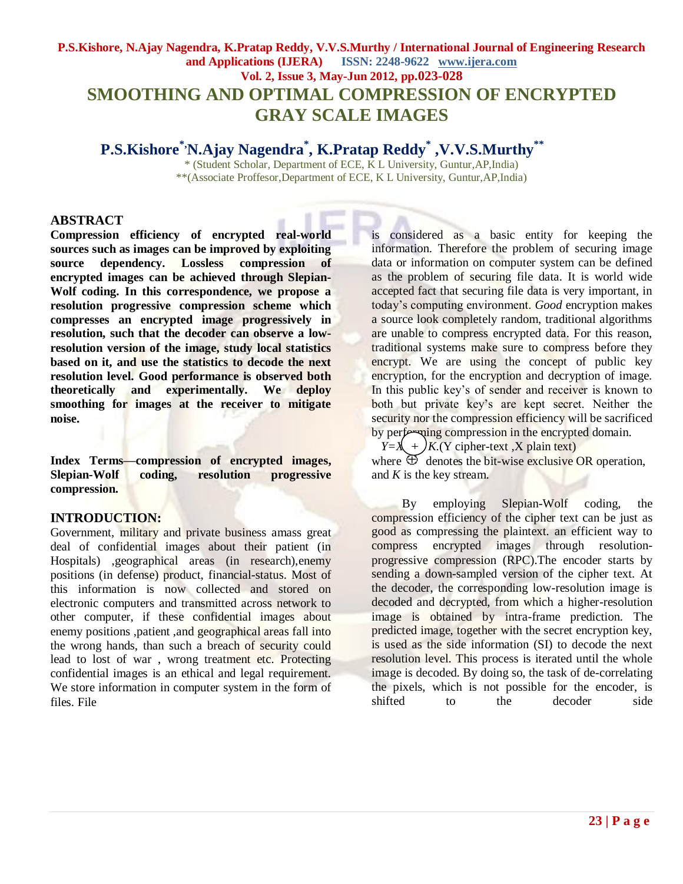# **P.S.Kishore, N.Ajay Nagendra, K.Pratap Reddy, V.V.S.Murthy / International Journal of Engineering Research and Applications (IJERA) ISSN: 2248-9622 www.ijera.com Vol. 2, Issue 3, May-Jun 2012, pp.023-028 SMOOTHING AND OPTIMAL COMPRESSION OF ENCRYPTED GRAY SCALE IMAGES**

**P.S.Kishore\*,N.Ajay Nagendra\* , K.Pratap Reddy\* ,V.V.S.Murthy\*\***

\* (Student Scholar, Department of ECE, K L University, Guntur,AP,India) \*\*(Associate Proffesor,Department of ECE, K L University, Guntur,AP,India)

# **ABSTRACT**

**Compression efficiency of encrypted real-world sources such as images can be improved by exploiting source dependency. Lossless compression of encrypted images can be achieved through Slepian-Wolf coding. In this correspondence, we propose a resolution progressive compression scheme which compresses an encrypted image progressively in resolution, such that the decoder can observe a lowresolution version of the image, study local statistics based on it, and use the statistics to decode the next resolution level. Good performance is observed both theoretically and experimentally. We deploy smoothing for images at the receiver to mitigate noise.**

**Index Terms—compression of encrypted images, Slepian-Wolf coding, resolution progressive compression.**

# **INTRODUCTION:**

Government, military and private business amass great deal of confidential images about their patient (in Hospitals) ,geographical areas (in research),enemy positions (in defense) product, financial-status. Most of this information is now collected and stored on electronic computers and transmitted across network to other computer, if these confidential images about enemy positions ,patient ,and geographical areas fall into the wrong hands, than such a breach of security could lead to lost of war , wrong treatment etc. Protecting confidential images is an ethical and legal requirement. We store information in computer system in the form of files. File

is considered as a basic entity for keeping the information. Therefore the problem of securing image data or information on computer system can be defined as the problem of securing file data. It is world wide accepted fact that securing file data is very important, in today"s computing environment. *Good* encryption makes a source look completely random, traditional algorithms are unable to compress encrypted data. For this reason, traditional systems make sure to compress before they encrypt. We are using the concept of public key encryption, for the encryption and decryption of image. In this public key's of sender and receiver is known to both but private key's are kept secret. Neither the security nor the compression efficiency will be sacrificed by performing compression in the encrypted domain.

 $Y=X + K(Y \text{ cipher-text }, X \text{ plain text})$ where  $\oplus$  denotes the bit-wise exclusive OR operation, and *K* is the key stream.

 By employing Slepian-Wolf coding, the compression efficiency of the cipher text can be just as good as compressing the plaintext. an efficient way to compress encrypted images through resolutionprogressive compression (RPC).The encoder starts by sending a down-sampled version of the cipher text. At the decoder, the corresponding low-resolution image is decoded and decrypted, from which a higher-resolution image is obtained by intra-frame prediction. The predicted image, together with the secret encryption key, is used as the side information (SI) to decode the next resolution level. This process is iterated until the whole image is decoded. By doing so, the task of de-correlating the pixels, which is not possible for the encoder, is shifted to the decoder side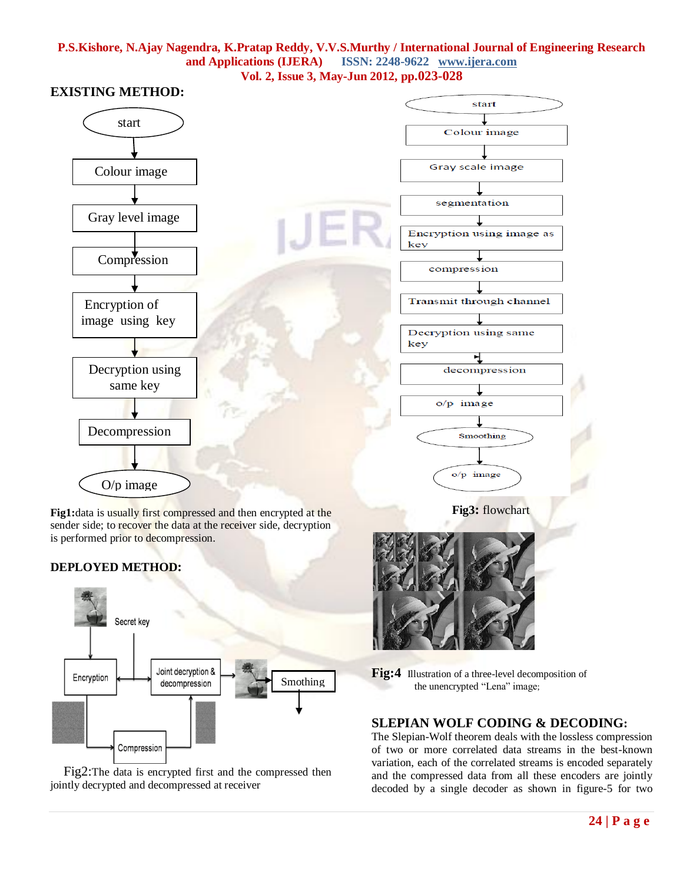

**Fig1:**data is usually first compressed and then encrypted at the sender side; to recover the data at the receiver side, decryption is performed prior to decompression.

# **DEPLOYED METHOD:**



 Fig2:The data is encrypted first and the compressed then jointly decrypted and decompressed at receiver

**Fig:4** Illustration of a three-level decomposition of the unencrypted "Lena" image;

## **SLEPIAN WOLF CODING & DECODING:**

The Slepian-Wolf theorem deals with the lossless compression of two or more correlated data streams in the best-known variation, each of the correlated streams is encoded separately and the compressed data from all these encoders are jointly decoded by a single decoder as shown in figure-5 for two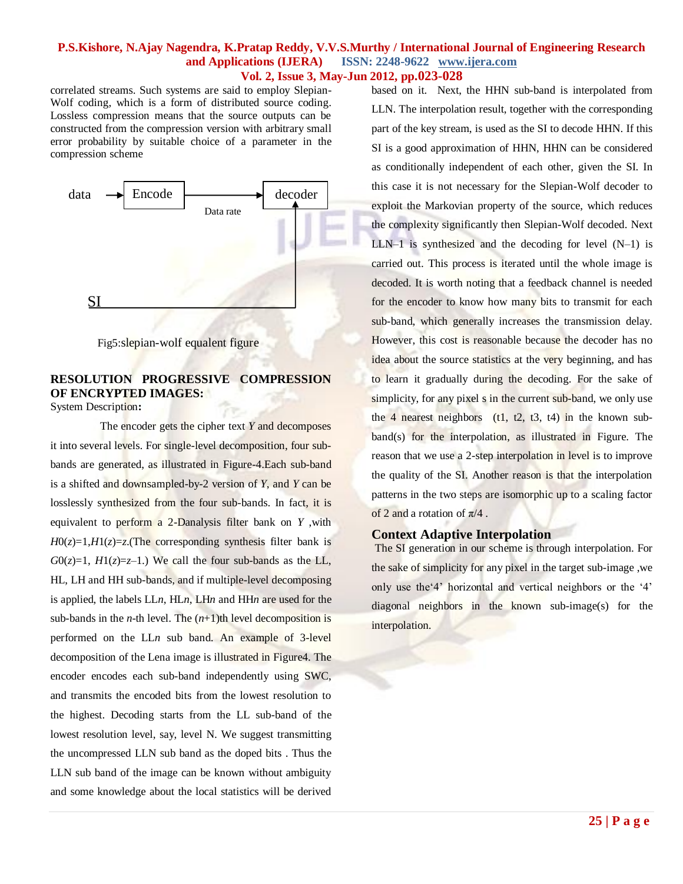correlated streams. Such systems are said to employ Slepian-Wolf coding, which is a form of distributed source coding. Lossless compression means that the source outputs can be constructed from the compression version with arbitrary small error probability by suitable choice of a parameter in the compression scheme



Fig5:slepian-wolf equalent figure

# **RESOLUTION PROGRESSIVE COMPRESSION OF ENCRYPTED IMAGES:**

System Description**:**

 The encoder gets the cipher text *Y* and decomposes it into several levels. For single-level decomposition, four subbands are generated, as illustrated in Figure-4.Each sub-band is a shifted and downsampled-by-2 version of *Y*, and *Y* can be losslessly synthesized from the four sub-bands. In fact, it is equivalent to perform a 2-Danalysis filter bank on *Y* ,with  $H0(z)=1, H1(z)=z$ . (The corresponding synthesis filter bank is  $G0(z)=1$ ,  $H1(z)=z-1$ .) We call the four sub-bands as the LL, HL, LH and HH sub-bands, and if multiple-level decomposing is applied, the labels LL*n*, HL*n*, LH*n* and HH*n* are used for the sub-bands in the *n*-th level. The  $(n+1)$ th level decomposition is performed on the LL*n* sub band. An example of 3-level decomposition of the Lena image is illustrated in Figure4. The encoder encodes each sub-band independently using SWC, and transmits the encoded bits from the lowest resolution to the highest. Decoding starts from the LL sub-band of the lowest resolution level, say, level N. We suggest transmitting the uncompressed LLN sub band as the doped bits . Thus the LLN sub band of the image can be known without ambiguity and some knowledge about the local statistics will be derived

based on it. Next, the HHN sub-band is interpolated from LLN. The interpolation result, together with the corresponding part of the key stream, is used as the SI to decode HHN. If this SI is a good approximation of HHN, HHN can be considered as conditionally independent of each other, given the SI. In this case it is not necessary for the Slepian-Wolf decoder to exploit the Markovian property of the source, which reduces the complexity significantly then Slepian-Wolf decoded. Next LLN–1 is synthesized and the decoding for level  $(N-1)$  is carried out. This process is iterated until the whole image is decoded. It is worth noting that a feedback channel is needed for the encoder to know how many bits to transmit for each sub-band, which generally increases the transmission delay. However, this cost is reasonable because the decoder has no idea about the source statistics at the very beginning, and has to learn it gradually during the decoding. For the sake of simplicity, for any pixel s in the current sub-band, we only use the 4 nearest neighbors  $(t1, t2, t3, t4)$  in the known subband(s) for the interpolation, as illustrated in Figure. The reason that we use a 2-step interpolation in level is to improve the quality of the SI. Another reason is that the interpolation patterns in the two steps are isomorphic up to a scaling factor of 2 and a rotation of  $\pi/4$ .

#### **Context Adaptive Interpolation**

The SI generation in our scheme is through interpolation. For the sake of simplicity for any pixel in the target sub-image ,we only use the"4" horizontal and vertical neighbors or the "4" diagonal neighbors in the known sub-image(s) for the interpolation.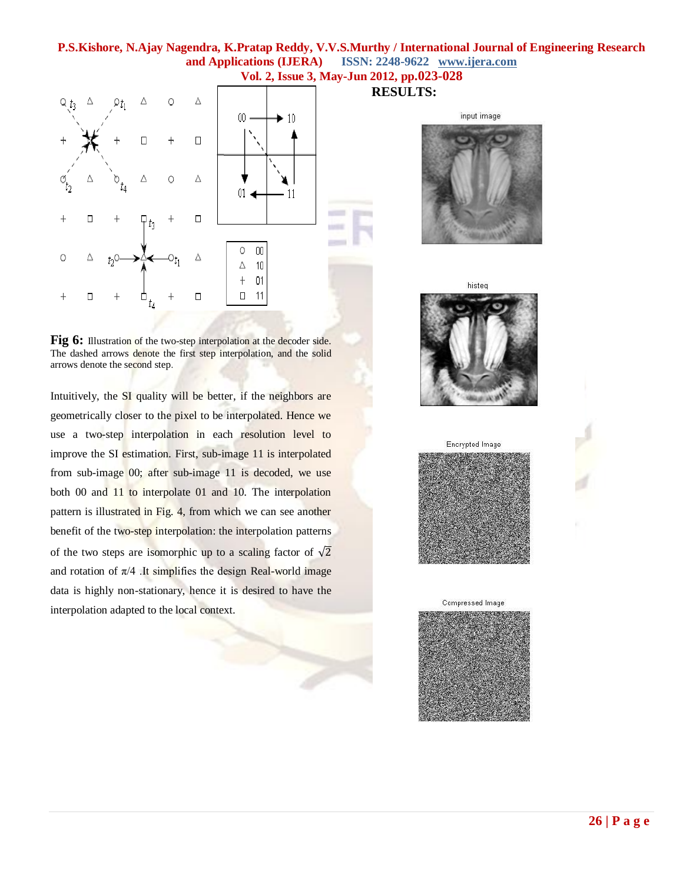

Fig 6: Illustration of the two-step interpolation at the decoder side. The dashed arrows denote the first step interpolation, and the solid arrows denote the second step.

Intuitively, the SI quality will be better, if the neighbors are geometrically closer to the pixel to be interpolated. Hence we use a two-step interpolation in each resolution level to improve the SI estimation. First, sub-image 11 is interpolated from sub-image 00; after sub-image 11 is decoded, we use both 00 and 11 to interpolate 01 and 10. The interpolation pattern is illustrated in Fig. 4, from which we can see another benefit of the two-step interpolation: the interpolation patterns of the two steps are isomorphic up to a scaling factor of  $\sqrt{2}$ and rotation of  $\pi/4$ . It simplifies the design Real-world image data is highly non-stationary, hence it is desired to have the interpolation adapted to the local context.

**RESULTS:**

input image









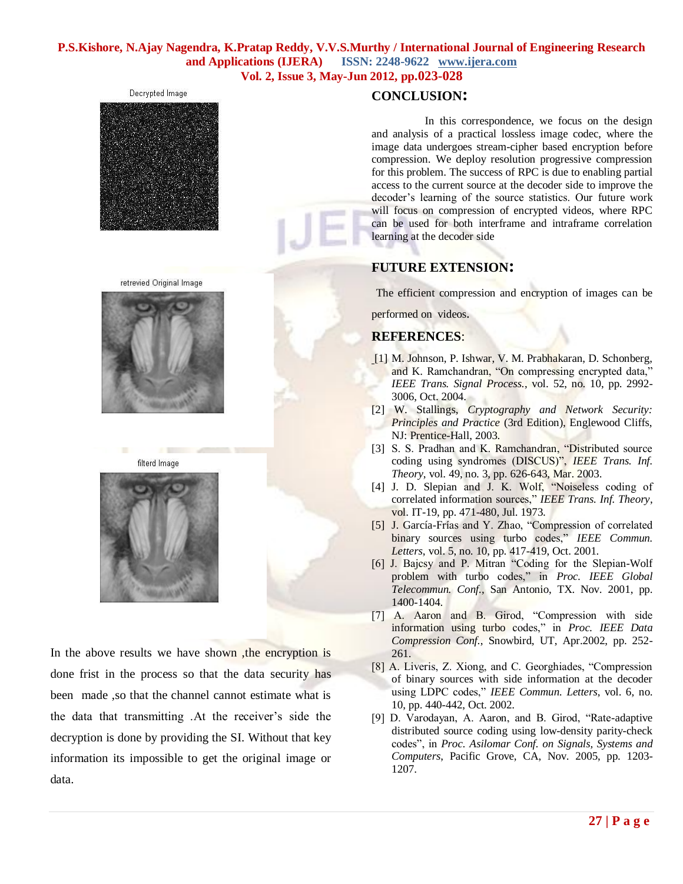# **P.S.Kishore, N.Ajay Nagendra, K.Pratap Reddy, V.V.S.Murthy / International Journal of Engineering Research and Applications (IJERA) ISSN: 2248-9622 www.ijera.com**

**Vol. 2, Issue 3, May-Jun 2012, pp.023-028**











In the above results we have shown, the encryption is done frist in the process so that the data security has been made ,so that the channel cannot estimate what is the data that transmitting .At the receiver"s side the decryption is done by providing the SI. Without that key information its impossible to get the original image or data.

# **CONCLUSION:**

 In this correspondence, we focus on the design and analysis of a practical lossless image codec, where the image data undergoes stream-cipher based encryption before compression. We deploy resolution progressive compression for this problem. The success of RPC is due to enabling partial access to the current source at the decoder side to improve the decoder"s learning of the source statistics. Our future work will focus on compression of encrypted videos, where RPC can be used for both interframe and intraframe correlation learning at the decoder side

# **FUTURE EXTENSION:**

The efficient compression and encryption of images can be

performed on videos.

# **REFERENCES**:

- [1] M. Johnson, P. Ishwar, V. M. Prabhakaran, D. Schonberg, and K. Ramchandran, "On compressing encrypted data," *IEEE Trans. Signal Process.*, vol. 52, no. 10, pp. 2992- 3006, Oct. 2004.
- [2] W. Stallings, *Cryptography and Network Security: Principles and Practice* (3rd Edition), Englewood Cliffs, NJ: Prentice-Hall, 2003.
- [3] S. S. Pradhan and K. Ramchandran, "Distributed source coding using syndromes (DISCUS)", *IEEE Trans. Inf. Theory*, vol. 49, no. 3, pp. 626-643, Mar. 2003.
- [4] J. D. Slepian and J. K. Wolf, "Noiseless coding of correlated information sources," *IEEE Trans. Inf. Theory*, vol. IT-19, pp. 471-480, Jul. 1973.
- [5] J. García-Frías and Y. Zhao, "Compression of correlated binary sources using turbo codes," *IEEE Commun. Letters*, vol. 5, no. 10, pp. 417-419, Oct. 2001.
- [6] J. Bajcsy and P. Mitran "Coding for the Slepian-Wolf problem with turbo codes," in *Proc. IEEE Global Telecommun. Conf.*, San Antonio, TX. Nov. 2001, pp. 1400-1404.
- [7] A. Aaron and B. Girod, "Compression with side information using turbo codes," in *Proc. IEEE Data Compression Conf.*, Snowbird, UT, Apr.2002, pp. 252- 261.
- [8] A. Liveris, Z. Xiong, and C. Georghiades, "Compression of binary sources with side information at the decoder using LDPC codes," *IEEE Commun. Letters*, vol. 6, no. 10, pp. 440-442, Oct. 2002.
- [9] D. Varodayan, A. Aaron, and B. Girod, "Rate-adaptive distributed source coding using low-density parity-check codes", in *Proc. Asilomar Conf. on Signals, Systems and Computers*, Pacific Grove, CA, Nov. 2005, pp. 1203- 1207.